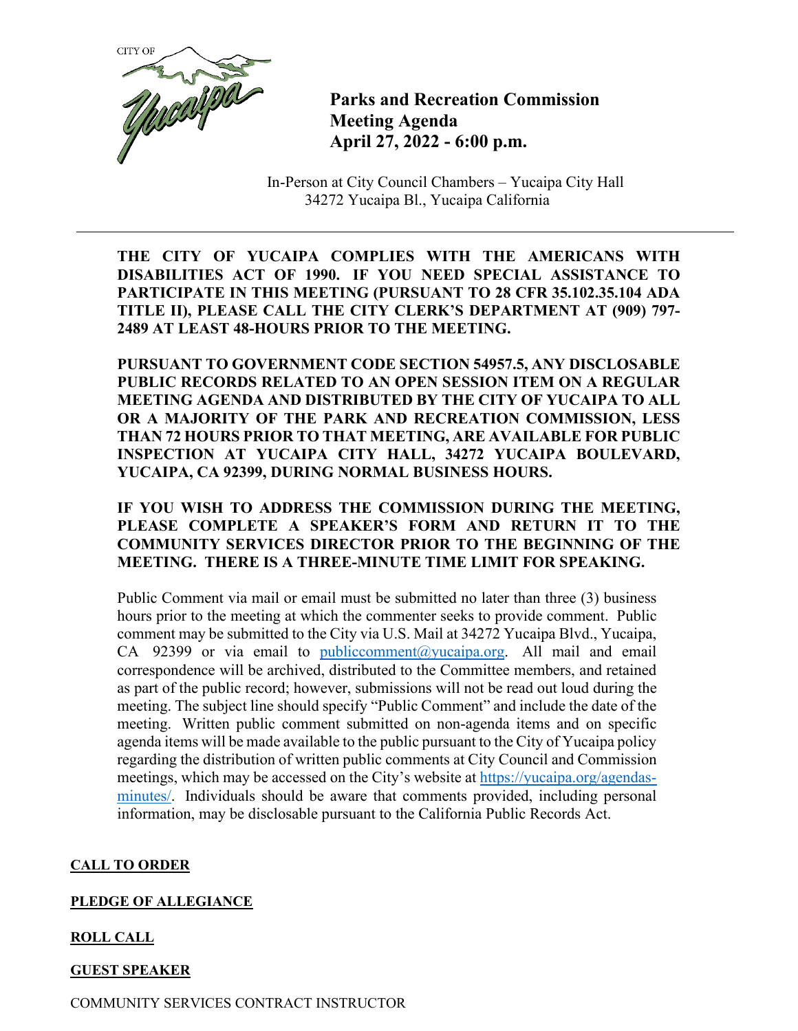

**Parks and Recreation Commission Meeting Agenda April 27, 2022 - 6:00 p.m.**

In-Person at City Council Chambers – Yucaipa City Hall 34272 Yucaipa Bl., Yucaipa California

**THE CITY OF YUCAIPA COMPLIES WITH THE AMERICANS WITH DISABILITIES ACT OF 1990. IF YOU NEED SPECIAL ASSISTANCE TO PARTICIPATE IN THIS MEETING (PURSUANT TO 28 CFR 35.102.35.104 ADA TITLE II), PLEASE CALL THE CITY CLERK'S DEPARTMENT AT (909) 797- 2489 AT LEAST 48-HOURS PRIOR TO THE MEETING.**

**PURSUANT TO GOVERNMENT CODE SECTION 54957.5, ANY DISCLOSABLE PUBLIC RECORDS RELATED TO AN OPEN SESSION ITEM ON A REGULAR MEETING AGENDA AND DISTRIBUTED BY THE CITY OF YUCAIPA TO ALL OR A MAJORITY OF THE PARK AND RECREATION COMMISSION, LESS THAN 72 HOURS PRIOR TO THAT MEETING, ARE AVAILABLE FOR PUBLIC INSPECTION AT YUCAIPA CITY HALL, 34272 YUCAIPA BOULEVARD, YUCAIPA, CA 92399, DURING NORMAL BUSINESS HOURS.**

**IF YOU WISH TO ADDRESS THE COMMISSION DURING THE MEETING, PLEASE COMPLETE A SPEAKER'S FORM AND RETURN IT TO THE COMMUNITY SERVICES DIRECTOR PRIOR TO THE BEGINNING OF THE MEETING. THERE IS A THREE-MINUTE TIME LIMIT FOR SPEAKING.**

Public Comment via mail or email must be submitted no later than three (3) business hours prior to the meeting at which the commenter seeks to provide comment. Public comment may be submitted to the City via U.S. Mail at 34272 Yucaipa Blvd., Yucaipa, CA 92399 or via email to [publiccomment@yucaipa.org.](mailto:publiccomment@yucaipa.org) All mail and email correspondence will be archived, distributed to the Committee members, and retained as part of the public record; however, submissions will not be read out loud during the meeting. The subject line should specify "Public Comment" and include the date of the meeting. Written public comment submitted on non-agenda items and on specific agenda items will be made available to the public pursuant to the City of Yucaipa policy regarding the distribution of written public comments at City Council and Commission meetings, which may be accessed on the City's website at [https://yucaipa.org/agendas](https://linkprotect.cudasvc.com/url?a=https%3a%2f%2fyucaipa.org%2fagendas-minutes%2f&c=E,1,8iu_aLaCQsOmYjnWdhNeQgU9-XVoB5a0CzOs_nrmw5nAY-k_y7XZa3JAnXx2dduIQhERc5pzGH0uA9TG0OvmT6S6_YXFTmLh8Gy4-DGG9zUALHtuXEtWj2x5&typo=1)[minutes/.](https://linkprotect.cudasvc.com/url?a=https%3a%2f%2fyucaipa.org%2fagendas-minutes%2f&c=E,1,8iu_aLaCQsOmYjnWdhNeQgU9-XVoB5a0CzOs_nrmw5nAY-k_y7XZa3JAnXx2dduIQhERc5pzGH0uA9TG0OvmT6S6_YXFTmLh8Gy4-DGG9zUALHtuXEtWj2x5&typo=1) Individuals should be aware that comments provided, including personal information, may be disclosable pursuant to the California Public Records Act.

## **CALL TO ORDER**

## **PLEDGE OF ALLEGIANCE**

# **ROLL CALL**

# **GUEST SPEAKER**